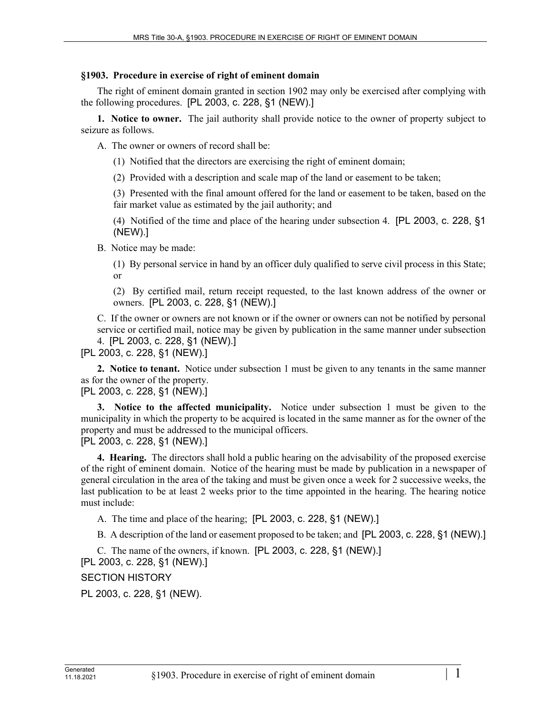## **§1903. Procedure in exercise of right of eminent domain**

The right of eminent domain granted in section 1902 may only be exercised after complying with the following procedures. [PL 2003, c. 228, §1 (NEW).]

**1. Notice to owner.** The jail authority shall provide notice to the owner of property subject to seizure as follows.

A. The owner or owners of record shall be:

(1) Notified that the directors are exercising the right of eminent domain;

(2) Provided with a description and scale map of the land or easement to be taken;

(3) Presented with the final amount offered for the land or easement to be taken, based on the fair market value as estimated by the jail authority; and

(4) Notified of the time and place of the hearing under subsection 4. [PL 2003, c. 228, §1 (NEW).]

B. Notice may be made:

(1) By personal service in hand by an officer duly qualified to serve civil process in this State; or

(2) By certified mail, return receipt requested, to the last known address of the owner or owners. [PL 2003, c. 228, §1 (NEW).]

C. If the owner or owners are not known or if the owner or owners can not be notified by personal service or certified mail, notice may be given by publication in the same manner under subsection 4. [PL 2003, c. 228, §1 (NEW).]

[PL 2003, c. 228, §1 (NEW).]

**2. Notice to tenant.** Notice under subsection 1 must be given to any tenants in the same manner as for the owner of the property.

[PL 2003, c. 228, §1 (NEW).]

**3. Notice to the affected municipality.** Notice under subsection 1 must be given to the municipality in which the property to be acquired is located in the same manner as for the owner of the property and must be addressed to the municipal officers. [PL 2003, c. 228, §1 (NEW).]

**4. Hearing.** The directors shall hold a public hearing on the advisability of the proposed exercise of the right of eminent domain. Notice of the hearing must be made by publication in a newspaper of general circulation in the area of the taking and must be given once a week for 2 successive weeks, the last publication to be at least 2 weeks prior to the time appointed in the hearing. The hearing notice must include:

A. The time and place of the hearing; [PL 2003, c. 228, §1 (NEW).]

B. A description of the land or easement proposed to be taken; and [PL 2003, c. 228, §1 (NEW).]

C. The name of the owners, if known. [PL 2003, c. 228, §1 (NEW).]

[PL 2003, c. 228, §1 (NEW).]

SECTION HISTORY

PL 2003, c. 228, §1 (NEW).